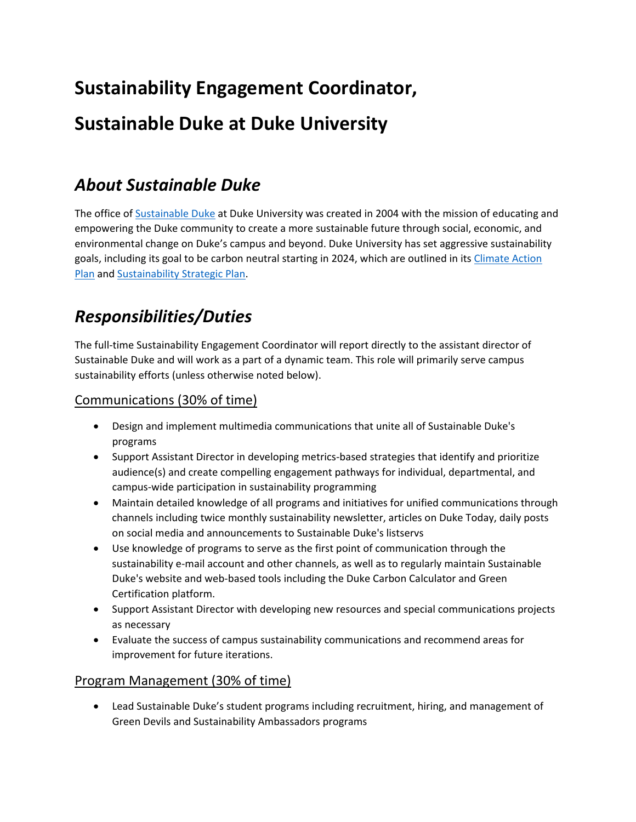# **Sustainability Engagement Coordinator, Sustainable Duke at Duke University**

### *About Sustainable Duke*

The office of [Sustainable Duke](https://sustainability.duke.edu/) at Duke University was created in 2004 with the mission of educating and empowering the Duke community to create a more sustainable future through social, economic, and environmental change on Duke's campus and beyond. Duke University has set aggressive sustainability goals, including its goal to be carbon neutral starting in 2024, which are outlined in its Climate Action [Plan](https://sustainability.duke.edu/metrics/climate) and [Sustainability Strategic Plan.](https://sustainability.duke.edu/about/ssp2021)

# *Responsibilities/Duties*

The full-time Sustainability Engagement Coordinator will report directly to the assistant director of Sustainable Duke and will work as a part of a dynamic team. This role will primarily serve campus sustainability efforts (unless otherwise noted below).

#### Communications (30% of time)

- Design and implement multimedia communications that unite all of Sustainable Duke's programs
- Support Assistant Director in developing metrics-based strategies that identify and prioritize audience(s) and create compelling engagement pathways for individual, departmental, and campus-wide participation in sustainability programming
- Maintain detailed knowledge of all programs and initiatives for unified communications through channels including twice monthly sustainability newsletter, articles on Duke Today, daily posts on social media and announcements to Sustainable Duke's listservs
- Use knowledge of programs to serve as the first point of communication through the sustainability e-mail account and other channels, as well as to regularly maintain Sustainable Duke's website and web-based tools including the Duke Carbon Calculator and Green Certification platform.
- Support Assistant Director with developing new resources and special communications projects as necessary
- Evaluate the success of campus sustainability communications and recommend areas for improvement for future iterations.

#### Program Management (30% of time)

• Lead Sustainable Duke's student programs including recruitment, hiring, and management of Green Devils and Sustainability Ambassadors programs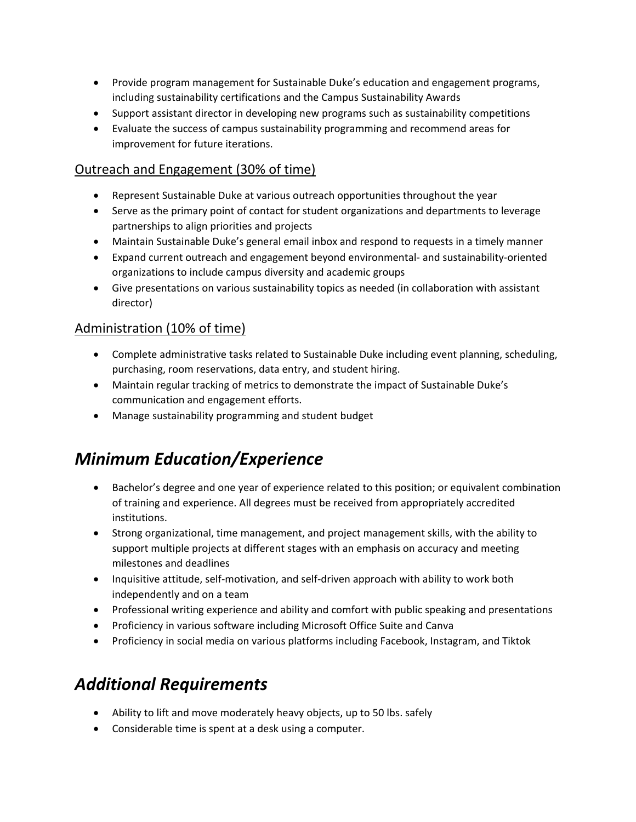- Provide program management for Sustainable Duke's education and engagement programs, including sustainability certifications and the Campus Sustainability Awards
- Support assistant director in developing new programs such as sustainability competitions
- Evaluate the success of campus sustainability programming and recommend areas for improvement for future iterations.

#### Outreach and Engagement (30% of time)

- Represent Sustainable Duke at various outreach opportunities throughout the year
- Serve as the primary point of contact for student organizations and departments to leverage partnerships to align priorities and projects
- Maintain Sustainable Duke's general email inbox and respond to requests in a timely manner
- Expand current outreach and engagement beyond environmental- and sustainability-oriented organizations to include campus diversity and academic groups
- Give presentations on various sustainability topics as needed (in collaboration with assistant director)

#### Administration (10% of time)

- Complete administrative tasks related to Sustainable Duke including event planning, scheduling, purchasing, room reservations, data entry, and student hiring.
- Maintain regular tracking of metrics to demonstrate the impact of Sustainable Duke's communication and engagement efforts.
- Manage sustainability programming and student budget

### *Minimum Education/Experience*

- Bachelor's degree and one year of experience related to this position; or equivalent combination of training and experience. All degrees must be received from appropriately accredited institutions.
- Strong organizational, time management, and project management skills, with the ability to support multiple projects at different stages with an emphasis on accuracy and meeting milestones and deadlines
- Inquisitive attitude, self-motivation, and self-driven approach with ability to work both independently and on a team
- Professional writing experience and ability and comfort with public speaking and presentations
- Proficiency in various software including Microsoft Office Suite and Canva
- Proficiency in social media on various platforms including Facebook, Instagram, and Tiktok

# *Additional Requirements*

- Ability to lift and move moderately heavy objects, up to 50 lbs. safely
- Considerable time is spent at a desk using a computer.